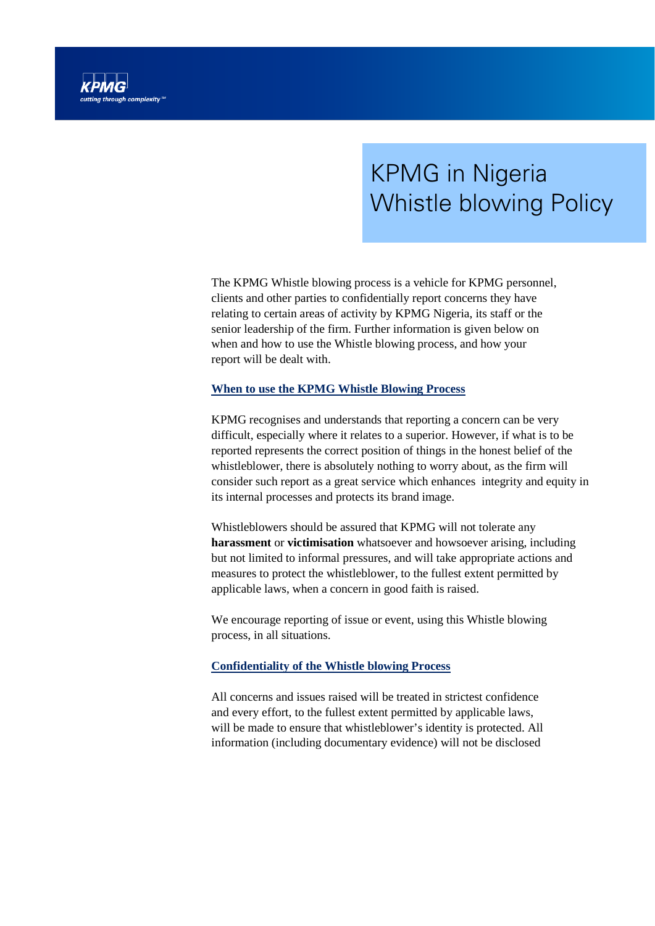

# KPMG in Nigeria Whistle blowing Policy

The KPMG Whistle blowing process is a vehicle for KPMG personnel, clients and other parties to confidentially report concerns they have relating to certain areas of activity by KPMG Nigeria, its staff or the senior leadership of the firm. Further information is given below on when and how to use the Whistle blowing process, and how your report will be dealt with.

### **When to use the KPMG Whistle Blowing Process**

KPMG recognises and understands that reporting a concern can be very difficult, especially where it relates to a superior. However, if what is to be reported represents the correct position of things in the honest belief of the whistleblower, there is absolutely nothing to worry about, as the firm will consider such report as a great service which enhances integrity and equity in its internal processes and protects its brand image.

Whistleblowers should be assured that KPMG will not tolerate any **harassment** or **victimisation** whatsoever and howsoever arising, including but not limited to informal pressures, and will take appropriate actions and measures to protect the whistleblower, to the fullest extent permitted by applicable laws, when a concern in good faith is raised.

We encourage reporting of issue or event, using this Whistle blowing process, in all situations.

#### **Confidentiality of the Whistle blowing Process**

All concerns and issues raised will be treated in strictest confidence and every effort, to the fullest extent permitted by applicable laws, will be made to ensure that whistleblower's identity is protected. All information (including documentary evidence) will not be disclosed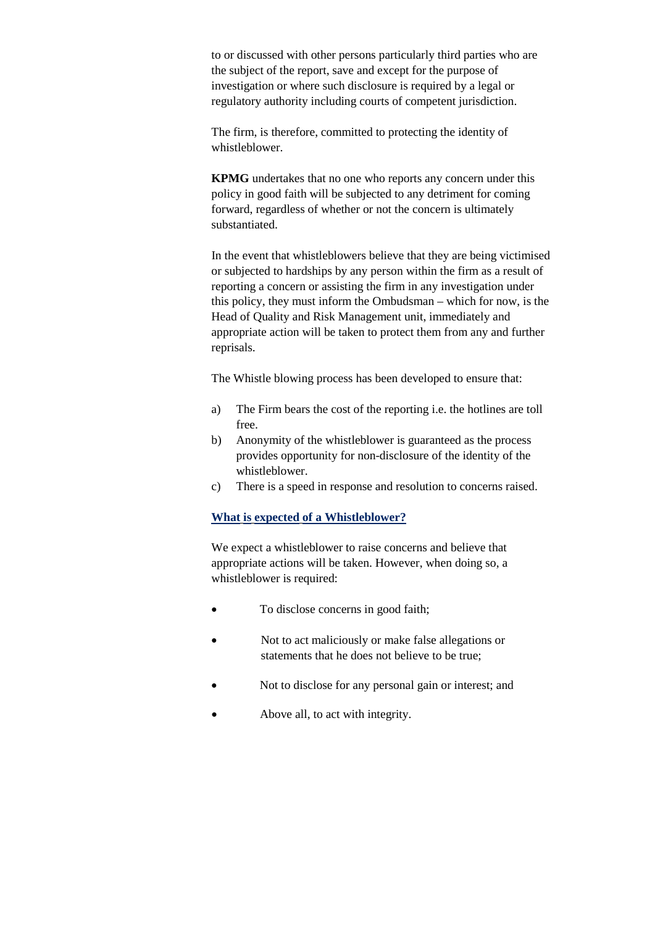to or discussed with other persons particularly third parties who are the subject of the report, save and except for the purpose of investigation or where such disclosure is required by a legal or regulatory authority including courts of competent jurisdiction.

The firm, is therefore, committed to protecting the identity of whistleblower.

**KPMG** undertakes that no one who reports any concern under this policy in good faith will be subjected to any detriment for coming forward, regardless of whether or not the concern is ultimately substantiated.

In the event that whistleblowers believe that they are being victimised or subjected to hardships by any person within the firm as a result of reporting a concern or assisting the firm in any investigation under this policy, they must inform the Ombudsman – which for now, is the Head of Quality and Risk Management unit, immediately and appropriate action will be taken to protect them from any and further reprisals.

The Whistle blowing process has been developed to ensure that:

- a) The Firm bears the cost of the reporting i.e. the hotlines are toll free.
- b) Anonymity of the whistleblower is guaranteed as the process provides opportunity for non-disclosure of the identity of the whistleblower.
- c) There is a speed in response and resolution to concerns raised.

# **What is expected of a Whistleblower?**

We expect a whistleblower to raise concerns and believe that appropriate actions will be taken. However, when doing so, a whistleblower is required:

- To disclose concerns in good faith;
- Not to act maliciously or make false allegations or statements that he does not believe to be true;
- Not to disclose for any personal gain or interest; and
- Above all, to act with integrity.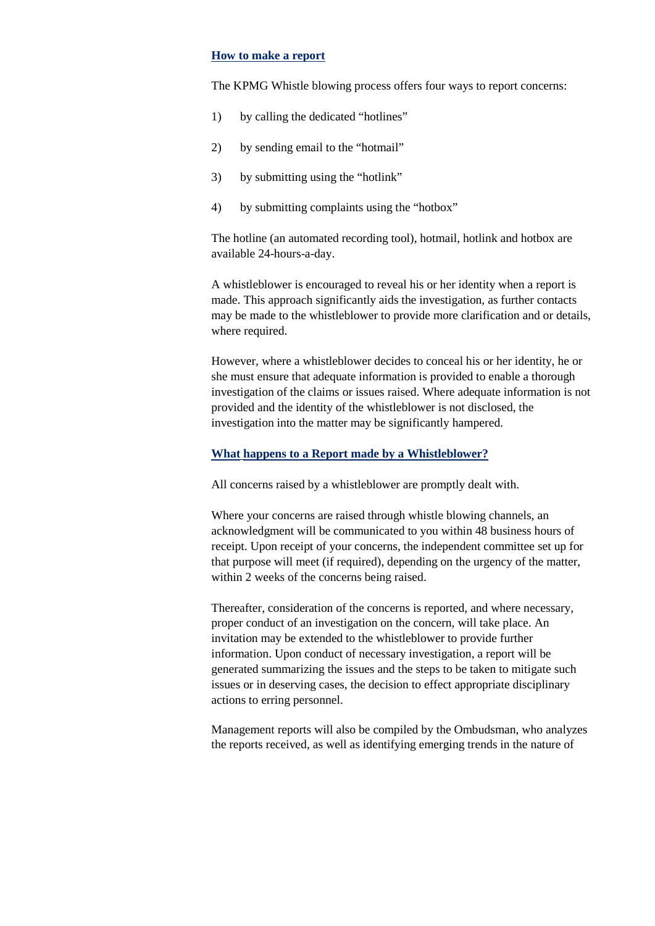#### **How to make a report**

The KPMG Whistle blowing process offers four ways to report concerns:

- 1) by calling the dedicated "hotlines"
- 2) by sending email to the "hotmail"
- 3) by submitting using the "hotlink"
- 4) by submitting complaints using the "hotbox"

The hotline (an automated recording tool), hotmail, hotlink and hotbox are available 24-hours-a-day.

A whistleblower is encouraged to reveal his or her identity when a report is made. This approach significantly aids the investigation, as further contacts may be made to the whistleblower to provide more clarification and or details, where required.

However, where a whistleblower decides to conceal his or her identity, he or she must ensure that adequate information is provided to enable a thorough investigation of the claims or issues raised. Where adequate information is not provided and the identity of the whistleblower is not disclosed, the investigation into the matter may be significantly hampered.

#### **What happens to a Report made by a Whistleblower?**

All concerns raised by a whistleblower are promptly dealt with.

Where your concerns are raised through whistle blowing channels, an acknowledgment will be communicated to you within 48 business hours of receipt. Upon receipt of your concerns, the independent committee set up for that purpose will meet (if required), depending on the urgency of the matter, within 2 weeks of the concerns being raised.

Thereafter, consideration of the concerns is reported, and where necessary, proper conduct of an investigation on the concern, will take place. An invitation may be extended to the whistleblower to provide further information. Upon conduct of necessary investigation, a report will be generated summarizing the issues and the steps to be taken to mitigate such issues or in deserving cases, the decision to effect appropriate disciplinary actions to erring personnel.

Management reports will also be compiled by the Ombudsman, who analyzes the reports received, as well as identifying emerging trends in the nature of